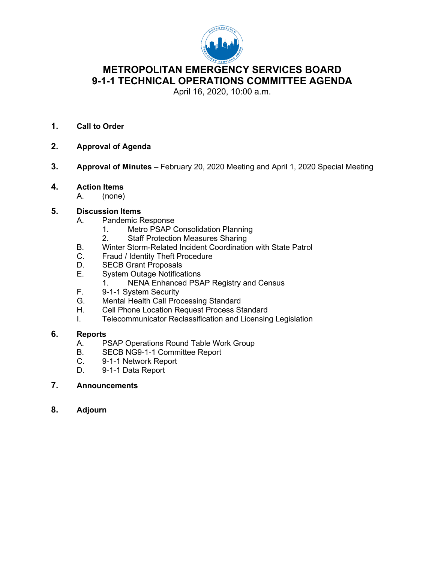

# **METROPOLITAN EMERGENCY SERVICES BOARD 9-1-1 TECHNICAL OPERATIONS COMMITTEE AGENDA**

April 16, 2020, 10:00 a.m.

- **1. Call to Order**
- **2. Approval of Agenda**
- **3. Approval of Minutes –** February 20, 2020 Meeting and April 1, 2020 Special Meeting
- **4. Action Items**
	- A. (none)

## **5. Discussion Items**

- A. Pandemic Response
	- 1. Metro PSAP Consolidation Planning
	- 2. Staff Protection Measures Sharing
- B. Winter Storm-Related Incident Coordination with State Patrol
- C. Fraud / Identity Theft Procedure<br>D. SECB Grant Proposals
- D. SECB Grant Proposals<br>E. System Outage Notifica
- **System Outage Notifications** 
	- 1. NENA Enhanced PSAP Registry and Census
- F. 9-1-1 System Security
- G. Mental Health Call Processing Standard
- H. Cell Phone Location Request Process Standard
- I. Telecommunicator Reclassification and Licensing Legislation

# **6. Reports**

- PSAP Operations Round Table Work Group
- B. SECB NG9-1-1 Committee Report
- C. 9-1-1 Network Report
- D. 9-1-1 Data Report
- **7. Announcements**
- **8. Adjourn**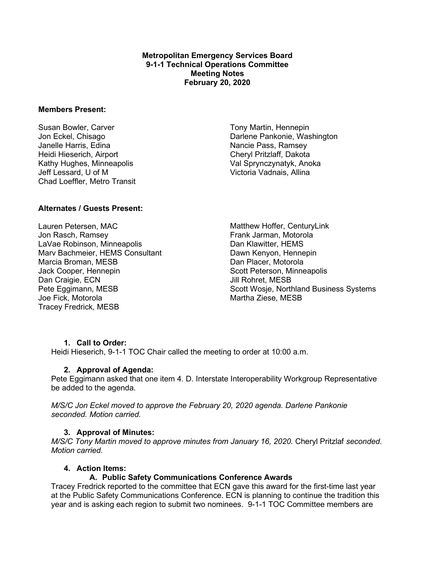**Metropolitan Emergency Services Board 9-1-1 Technical Operations Committee Meeting Notes February 20, 2020**

#### **Members Present:**

Susan Bowler, Carver Jon Eckel, Chisago Janelle Harris, Edina Heidi Hieserich, Airport Kathy Hughes, Minneapolis Jeff Lessard, U of M Chad Loeffler, Metro Transit

Tony Martin, Hennepin Darlene Pankonie, Washington Nancie Pass, Ramsey Cheryl Pritzlaff, Dakota Val Sprynczynatyk, Anoka Victoria Vadnais, Allina

#### **Alternates / Guests Present:**

Lauren Petersen, MAC Jon Rasch, Ramsey LaVae Robinson, Minneapolis Marv Bachmeier, HEMS Consultant Marcia Broman, MESB Jack Cooper, Hennepin Dan Craigie, ECN Pete Eggimann, MESB Joe Fick, Motorola Tracey Fredrick, MESB

Matthew Hoffer, CenturyLink Frank Jarman, Motorola Dan Klawitter, HEMS Dawn Kenyon, Hennepin Dan Placer, Motorola Scott Peterson, Minneapolis Jill Rohret, MESB Scott Wosje, Northland Business Systems Martha Ziese, MESB

#### **1. Call to Order:**

Heidi Hieserich, 9-1-1 TOC Chair called the meeting to order at 10:00 a.m.

#### **2. Approval of Agenda:**

Pete Eggimann asked that one item 4. D. Interstate Interoperability Workgroup Representative be added to the agenda.

*M/S/C Jon Eckel moved to approve the February 20, 2020 agenda. Darlene Pankonie seconded. Motion carried.*

#### **3. Approval of Minutes:**

*M/S/C Tony Martin moved to approve minutes from January 16, 2020.* Cheryl Pritzlaf *seconded. Motion carried.*

#### **4. Action Items:**

#### **A. Public Safety Communications Conference Awards**

Tracey Fredrick reported to the committee that ECN gave this award for the first-time last year at the Public Safety Communications Conference. ECN is planning to continue the tradition this year and is asking each region to submit two nominees. 9-1-1 TOC Committee members are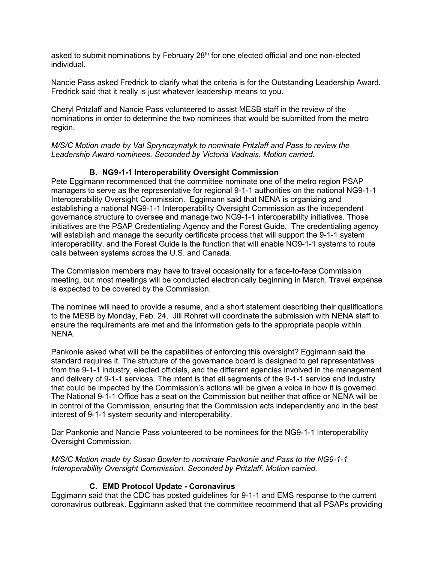asked to submit nominations by February 28<sup>th</sup> for one elected official and one non-elected individual.

Nancie Pass asked Fredrick to clarify what the criteria is for the Outstanding Leadership Award. Fredrick said that it really is just whatever leadership means to you.

Cheryl Pritzlaff and Nancie Pass volunteered to assist MESB staff in the review of the nominations in order to determine the two nominees that would be submitted from the metro region.

*M/S/C Motion made by Val Sprynczynatyk to nominate Pritzlaff and Pass to review the Leadership Award nominees. Seconded by Victoria Vadnais. Motion carried.*

## **B. NG9-1-1 Interoperability Oversight Commission**

Pete Eggimann recommended that the committee nominate one of the metro region PSAP managers to serve as the representative for regional 9-1-1 authorities on the national NG9-1-1 Interoperability Oversight Commission. Eggimann said that NENA is organizing and establishing a national NG9-1-1 Interoperability Oversight Commission as the independent governance structure to oversee and manage two NG9-1-1 interoperability initiatives. Those initiatives are the PSAP Credentialing Agency and the Forest Guide. The credentialing agency will establish and manage the security certificate process that will support the 9-1-1 system interoperability, and the Forest Guide is the function that will enable NG9-1-1 systems to route calls between systems across the U.S. and Canada.

The Commission members may have to travel occasionally for a face-to-face Commission meeting, but most meetings will be conducted electronically beginning in March. Travel expense is expected to be covered by the Commission.

The nominee will need to provide a resume, and a short statement describing their qualifications to the MESB by Monday, Feb. 24. Jill Rohret will coordinate the submission with NENA staff to ensure the requirements are met and the information gets to the appropriate people within NENA.

Pankonie asked what will be the capabilities of enforcing this oversight? Eggimann said the standard requires it. The structure of the governance board is designed to get representatives from the 9-1-1 industry, elected officials, and the different agencies involved in the management and delivery of 9-1-1 services. The intent is that all segments of the 9-1-1 service and industry that could be impacted by the Commission's actions will be given a voice in how it is governed. The National 9-1-1 Office has a seat on the Commission but neither that office or NENA will be in control of the Commission, ensuring that the Commission acts independently and in the best interest of 9-1-1 system security and interoperability.

Dar Pankonie and Nancie Pass volunteered to be nominees for the NG9-1-1 Interoperability Oversight Commission.

*M/S/C Motion made by Susan Bowler to nominate Pankonie and Pass to the NG9-1-1 Interoperability Oversight Commission. Seconded by Pritzlaff. Motion carried.*

# **C. EMD Protocol Update - Coronavirus**

Eggimann said that the CDC has posted guidelines for 9-1-1 and EMS response to the current coronavirus outbreak. Eggimann asked that the committee recommend that all PSAPs providing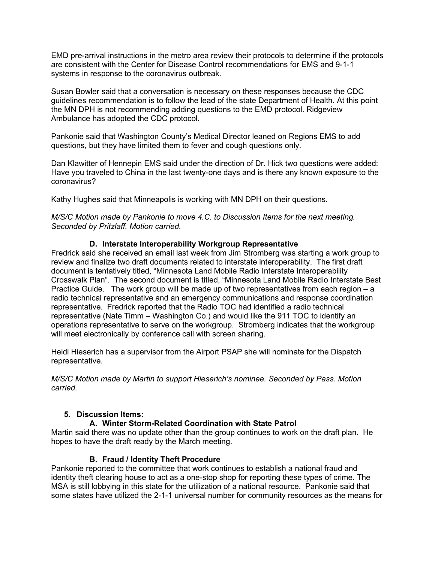EMD pre-arrival instructions in the metro area review their protocols to determine if the protocols are consistent with the Center for Disease Control recommendations for EMS and 9-1-1 systems in response to the coronavirus outbreak.

Susan Bowler said that a conversation is necessary on these responses because the CDC guidelines recommendation is to follow the lead of the state Department of Health. At this point the MN DPH is not recommending adding questions to the EMD protocol. Ridgeview Ambulance has adopted the CDC protocol.

Pankonie said that Washington County's Medical Director leaned on Regions EMS to add questions, but they have limited them to fever and cough questions only.

Dan Klawitter of Hennepin EMS said under the direction of Dr. Hick two questions were added: Have you traveled to China in the last twenty-one days and is there any known exposure to the coronavirus?

Kathy Hughes said that Minneapolis is working with MN DPH on their questions.

#### *M/S/C Motion made by Pankonie to move 4.C. to Discussion Items for the next meeting. Seconded by Pritzlaff. Motion carried.*

# **D. Interstate Interoperability Workgroup Representative**

Fredrick said she received an email last week from Jim Stromberg was starting a work group to review and finalize two draft documents related to interstate interoperability. The first draft document is tentatively titled, "Minnesota Land Mobile Radio Interstate Interoperability Crosswalk Plan". The second document is titled, "Minnesota Land Mobile Radio Interstate Best Practice Guide. The work group will be made up of two representatives from each region – a radio technical representative and an emergency communications and response coordination representative. Fredrick reported that the Radio TOC had identified a radio technical representative (Nate Timm – Washington Co.) and would like the 911 TOC to identify an operations representative to serve on the workgroup. Stromberg indicates that the workgroup will meet electronically by conference call with screen sharing.

Heidi Hieserich has a supervisor from the Airport PSAP she will nominate for the Dispatch representative.

*M/S/C Motion made by Martin to support Hieserich's nominee. Seconded by Pass. Motion carried.*

#### **5. Discussion Items:**

#### **A. Winter Storm-Related Coordination with State Patrol**

Martin said there was no update other than the group continues to work on the draft plan. He hopes to have the draft ready by the March meeting.

# **B. Fraud / Identity Theft Procedure**

Pankonie reported to the committee that work continues to establish a national fraud and identity theft clearing house to act as a one-stop shop for reporting these types of crime. The MSA is still lobbying in this state for the utilization of a national resource. Pankonie said that some states have utilized the 2-1-1 universal number for community resources as the means for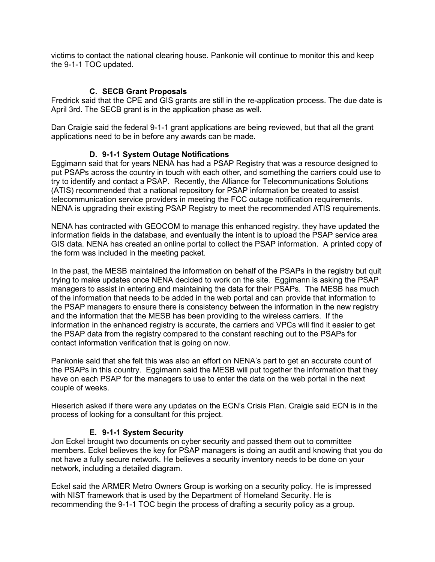victims to contact the national clearing house. Pankonie will continue to monitor this and keep the 9-1-1 TOC updated.

#### **C. SECB Grant Proposals**

Fredrick said that the CPE and GIS grants are still in the re-application process. The due date is April 3rd. The SECB grant is in the application phase as well.

Dan Craigie said the federal 9-1-1 grant applications are being reviewed, but that all the grant applications need to be in before any awards can be made.

#### **D. 9-1-1 System Outage Notifications**

Eggimann said that for years NENA has had a PSAP Registry that was a resource designed to put PSAPs across the country in touch with each other, and something the carriers could use to try to identify and contact a PSAP. Recently, the Alliance for Telecommunications Solutions (ATIS) recommended that a national repository for PSAP information be created to assist telecommunication service providers in meeting the FCC outage notification requirements. NENA is upgrading their existing PSAP Registry to meet the recommended ATIS requirements.

NENA has contracted with GEOCOM to manage this enhanced registry. they have updated the information fields in the database, and eventually the intent is to upload the PSAP service area GIS data. NENA has created an online portal to collect the PSAP information. A printed copy of the form was included in the meeting packet.

In the past, the MESB maintained the information on behalf of the PSAPs in the registry but quit trying to make updates once NENA decided to work on the site. Eggimann is asking the PSAP managers to assist in entering and maintaining the data for their PSAPs. The MESB has much of the information that needs to be added in the web portal and can provide that information to the PSAP managers to ensure there is consistency between the information in the new registry and the information that the MESB has been providing to the wireless carriers. If the information in the enhanced registry is accurate, the carriers and VPCs will find it easier to get the PSAP data from the registry compared to the constant reaching out to the PSAPs for contact information verification that is going on now.

Pankonie said that she felt this was also an effort on NENA's part to get an accurate count of the PSAPs in this country. Eggimann said the MESB will put together the information that they have on each PSAP for the managers to use to enter the data on the web portal in the next couple of weeks.

Hieserich asked if there were any updates on the ECN's Crisis Plan. Craigie said ECN is in the process of looking for a consultant for this project.

#### **E. 9-1-1 System Security**

Jon Eckel brought two documents on cyber security and passed them out to committee members. Eckel believes the key for PSAP managers is doing an audit and knowing that you do not have a fully secure network. He believes a security inventory needs to be done on your network, including a detailed diagram.

Eckel said the ARMER Metro Owners Group is working on a security policy. He is impressed with NIST framework that is used by the Department of Homeland Security. He is recommending the 9-1-1 TOC begin the process of drafting a security policy as a group.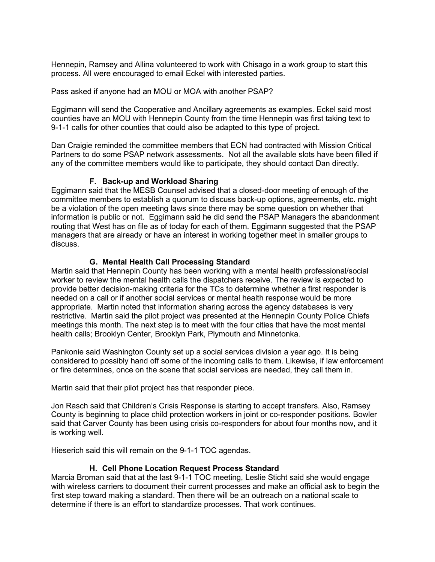Hennepin, Ramsey and Allina volunteered to work with Chisago in a work group to start this process. All were encouraged to email Eckel with interested parties.

Pass asked if anyone had an MOU or MOA with another PSAP?

Eggimann will send the Cooperative and Ancillary agreements as examples. Eckel said most counties have an MOU with Hennepin County from the time Hennepin was first taking text to 9-1-1 calls for other counties that could also be adapted to this type of project.

Dan Craigie reminded the committee members that ECN had contracted with Mission Critical Partners to do some PSAP network assessments. Not all the available slots have been filled if any of the committee members would like to participate, they should contact Dan directly.

## **F. Back-up and Workload Sharing**

Eggimann said that the MESB Counsel advised that a closed-door meeting of enough of the committee members to establish a quorum to discuss back-up options, agreements, etc. might be a violation of the open meeting laws since there may be some question on whether that information is public or not. Eggimann said he did send the PSAP Managers the abandonment routing that West has on file as of today for each of them. Eggimann suggested that the PSAP managers that are already or have an interest in working together meet in smaller groups to discuss.

## **G. Mental Health Call Processing Standard**

Martin said that Hennepin County has been working with a mental health professional/social worker to review the mental health calls the dispatchers receive. The review is expected to provide better decision-making criteria for the TCs to determine whether a first responder is needed on a call or if another social services or mental health response would be more appropriate. Martin noted that information sharing across the agency databases is very restrictive. Martin said the pilot project was presented at the Hennepin County Police Chiefs meetings this month. The next step is to meet with the four cities that have the most mental health calls; Brooklyn Center, Brooklyn Park, Plymouth and Minnetonka.

Pankonie said Washington County set up a social services division a year ago. It is being considered to possibly hand off some of the incoming calls to them. Likewise, if law enforcement or fire determines, once on the scene that social services are needed, they call them in.

Martin said that their pilot project has that responder piece.

Jon Rasch said that Children's Crisis Response is starting to accept transfers. Also, Ramsey County is beginning to place child protection workers in joint or co-responder positions. Bowler said that Carver County has been using crisis co-responders for about four months now, and it is working well.

Hieserich said this will remain on the 9-1-1 TOC agendas.

#### **H. Cell Phone Location Request Process Standard**

Marcia Broman said that at the last 9-1-1 TOC meeting, Leslie Sticht said she would engage with wireless carriers to document their current processes and make an official ask to begin the first step toward making a standard. Then there will be an outreach on a national scale to determine if there is an effort to standardize processes. That work continues.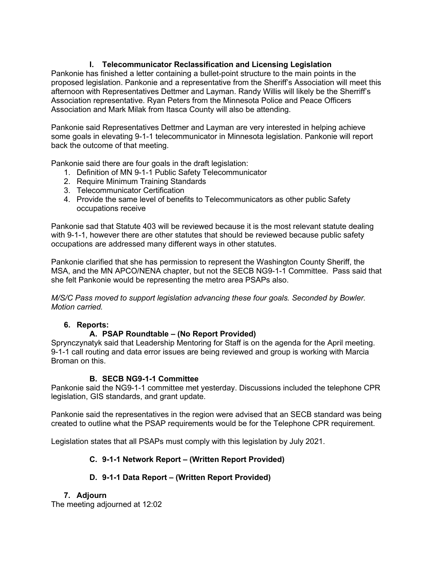# **I. Telecommunicator Reclassification and Licensing Legislation**

Pankonie has finished a letter containing a bullet-point structure to the main points in the proposed legislation. Pankonie and a representative from the Sheriff's Association will meet this afternoon with Representatives Dettmer and Layman. Randy Willis will likely be the Sherriff's Association representative. Ryan Peters from the Minnesota Police and Peace Officers Association and Mark Milak from Itasca County will also be attending.

Pankonie said Representatives Dettmer and Layman are very interested in helping achieve some goals in elevating 9-1-1 telecommunicator in Minnesota legislation. Pankonie will report back the outcome of that meeting.

Pankonie said there are four goals in the draft legislation:

- 1. Definition of MN 9-1-1 Public Safety Telecommunicator
- 2. Require Minimum Training Standards
- 3. Telecommunicator Certification
- 4. Provide the same level of benefits to Telecommunicators as other public Safety occupations receive

Pankonie sad that Statute 403 will be reviewed because it is the most relevant statute dealing with 9-1-1, however there are other statutes that should be reviewed because public safety occupations are addressed many different ways in other statutes.

Pankonie clarified that she has permission to represent the Washington County Sheriff, the MSA, and the MN APCO/NENA chapter, but not the SECB NG9-1-1 Committee. Pass said that she felt Pankonie would be representing the metro area PSAPs also.

*M/S/C Pass moved to support legislation advancing these four goals. Seconded by Bowler. Motion carried.* 

# **6. Reports:**

# **A. PSAP Roundtable – (No Report Provided)**

Sprynczynatyk said that Leadership Mentoring for Staff is on the agenda for the April meeting. 9-1-1 call routing and data error issues are being reviewed and group is working with Marcia Broman on this.

# **B. SECB NG9-1-1 Committee**

Pankonie said the NG9-1-1 committee met yesterday. Discussions included the telephone CPR legislation, GIS standards, and grant update.

Pankonie said the representatives in the region were advised that an SECB standard was being created to outline what the PSAP requirements would be for the Telephone CPR requirement.

Legislation states that all PSAPs must comply with this legislation by July 2021.

# **C. 9-1-1 Network Report – (Written Report Provided)**

# **D. 9-1-1 Data Report – (Written Report Provided)**

# **7. Adjourn**

The meeting adjourned at 12:02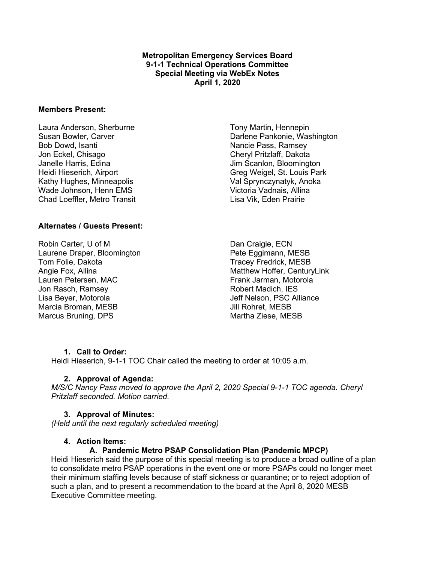#### **Metropolitan Emergency Services Board 9-1-1 Technical Operations Committee Special Meeting via WebEx Notes April 1, 2020**

#### **Members Present:**

Laura Anderson, Sherburne Susan Bowler, Carver Bob Dowd, Isanti Jon Eckel, Chisago Janelle Harris, Edina Heidi Hieserich, Airport Kathy Hughes, Minneapolis Wade Johnson, Henn EMS Chad Loeffler, Metro Transit

#### **Alternates / Guests Present:**

Robin Carter, U of M Laurene Draper, Bloomington Tom Folie, Dakota Angie Fox, Allina Lauren Petersen, MAC Jon Rasch, Ramsey Lisa Beyer, Motorola Marcia Broman, MESB Marcus Bruning, DPS

Tony Martin, Hennepin Darlene Pankonie, Washington Nancie Pass, Ramsey Cheryl Pritzlaff, Dakota Jim Scanlon, Bloomington Greg Weigel, St. Louis Park Val Sprynczynatyk, Anoka Victoria Vadnais, Allina Lisa Vik, Eden Prairie

Dan Craigie, ECN Pete Eggimann, MESB Tracey Fredrick, MESB Matthew Hoffer, CenturyLink Frank Jarman, Motorola Robert Madich, IES Jeff Nelson, PSC Alliance Jill Rohret, MESB Martha Ziese, MESB

#### **1. Call to Order:**

Heidi Hieserich, 9-1-1 TOC Chair called the meeting to order at 10:05 a.m.

#### **2. Approval of Agenda:**

*M/S/C Nancy Pass moved to approve the April 2, 2020 Special 9-1-1 TOC agenda. Cheryl Pritzlaff seconded. Motion carried.*

#### **3. Approval of Minutes:**

*(Held until the next regularly scheduled meeting)*

#### **4. Action Items:**

#### **A. Pandemic Metro PSAP Consolidation Plan (Pandemic MPCP)**

Heidi Hieserich said the purpose of this special meeting is to produce a broad outline of a plan to consolidate metro PSAP operations in the event one or more PSAPs could no longer meet their minimum staffing levels because of staff sickness or quarantine; or to reject adoption of such a plan, and to present a recommendation to the board at the April 8, 2020 MESB Executive Committee meeting.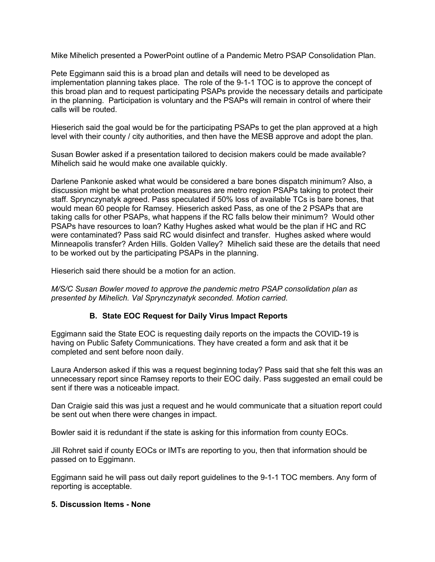Mike Mihelich presented a PowerPoint outline of a Pandemic Metro PSAP Consolidation Plan.

Pete Eggimann said this is a broad plan and details will need to be developed as implementation planning takes place. The role of the 9-1-1 TOC is to approve the concept of this broad plan and to request participating PSAPs provide the necessary details and participate in the planning. Participation is voluntary and the PSAPs will remain in control of where their calls will be routed.

Hieserich said the goal would be for the participating PSAPs to get the plan approved at a high level with their county / city authorities, and then have the MESB approve and adopt the plan.

Susan Bowler asked if a presentation tailored to decision makers could be made available? Mihelich said he would make one available quickly.

Darlene Pankonie asked what would be considered a bare bones dispatch minimum? Also, a discussion might be what protection measures are metro region PSAPs taking to protect their staff. Sprynczynatyk agreed. Pass speculated if 50% loss of available TCs is bare bones, that would mean 60 people for Ramsey. Hieserich asked Pass, as one of the 2 PSAPs that are taking calls for other PSAPs, what happens if the RC falls below their minimum? Would other PSAPs have resources to loan? Kathy Hughes asked what would be the plan if HC and RC were contaminated? Pass said RC would disinfect and transfer. Hughes asked where would Minneapolis transfer? Arden Hills. Golden Valley? Mihelich said these are the details that need to be worked out by the participating PSAPs in the planning.

Hieserich said there should be a motion for an action.

*M/S/C Susan Bowler moved to approve the pandemic metro PSAP consolidation plan as presented by Mihelich. Val Sprynczynatyk seconded. Motion carried.*

#### **B. State EOC Request for Daily Virus Impact Reports**

Eggimann said the State EOC is requesting daily reports on the impacts the COVID-19 is having on Public Safety Communications. They have created a form and ask that it be completed and sent before noon daily.

Laura Anderson asked if this was a request beginning today? Pass said that she felt this was an unnecessary report since Ramsey reports to their EOC daily. Pass suggested an email could be sent if there was a noticeable impact.

Dan Craigie said this was just a request and he would communicate that a situation report could be sent out when there were changes in impact.

Bowler said it is redundant if the state is asking for this information from county EOCs.

Jill Rohret said if county EOCs or IMTs are reporting to you, then that information should be passed on to Eggimann.

Eggimann said he will pass out daily report guidelines to the 9-1-1 TOC members. Any form of reporting is acceptable.

#### **5. Discussion Items - None**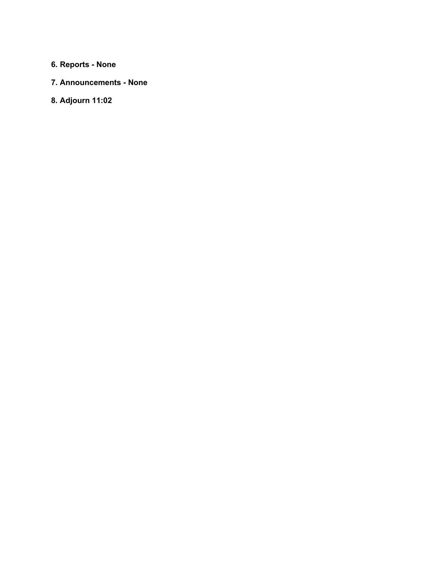# **6. Reports - None**

# **7. Announcements - None**

# **8. Adjourn 11:02**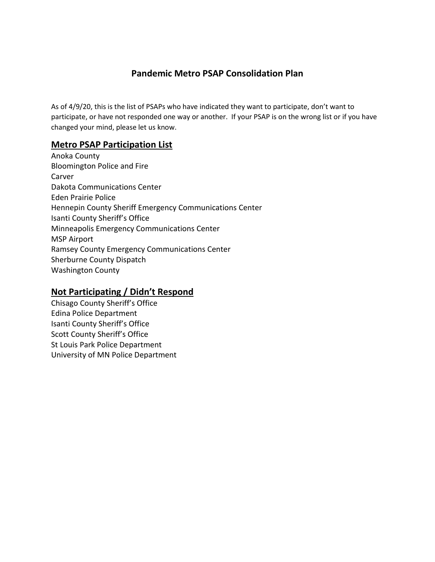# **Pandemic Metro PSAP Consolidation Plan**

As of 4/9/20, this is the list of PSAPs who have indicated they want to participate, don't want to participate, or have not responded one way or another. If your PSAP is on the wrong list or if you have changed your mind, please let us know.

# **Metro PSAP Participation List**

Anoka County Bloomington Police and Fire Carver Dakota Communications Center Eden Prairie Police Hennepin County Sheriff Emergency Communications Center Isanti County Sheriff's Office Minneapolis Emergency Communications Center MSP Airport Ramsey County Emergency Communications Center Sherburne County Dispatch Washington County

# **Not Participating / Didn't Respond**

Chisago County Sheriff's Office Edina Police Department Isanti County Sheriff's Office Scott County Sheriff's Office St Louis Park Police Department University of MN Police Department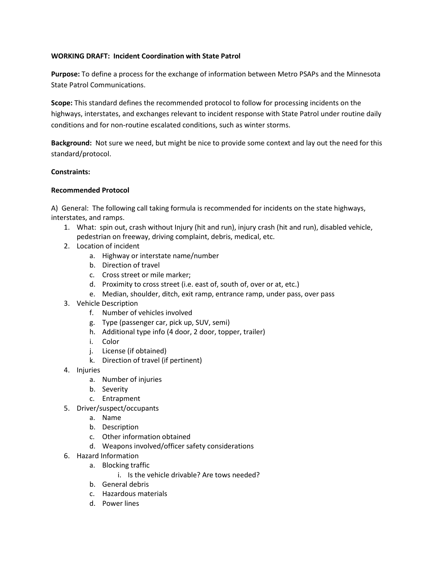#### **WORKING DRAFT: Incident Coordination with State Patrol**

**Purpose:** To define a process for the exchange of information between Metro PSAPs and the Minnesota State Patrol Communications.

**Scope:** This standard defines the recommended protocol to follow for processing incidents on the highways, interstates, and exchanges relevant to incident response with State Patrol under routine daily conditions and for non-routine escalated conditions, such as winter storms.

**Background:** Not sure we need, but might be nice to provide some context and lay out the need for this standard/protocol.

#### **Constraints:**

#### **Recommended Protocol**

A) General: The following call taking formula is recommended for incidents on the state highways, interstates, and ramps.

- 1. What: spin out, crash without Injury (hit and run), injury crash (hit and run), disabled vehicle, pedestrian on freeway, driving complaint, debris, medical, etc.
- 2. Location of incident
	- a. Highway or interstate name/number
	- b. Direction of travel
	- c. Cross street or mile marker;
	- d. Proximity to cross street (i.e. east of, south of, over or at, etc.)
	- e. Median, shoulder, ditch, exit ramp, entrance ramp, under pass, over pass
- 3. Vehicle Description
	- f. Number of vehicles involved
	- g. Type (passenger car, pick up, SUV, semi)
	- h. Additional type info (4 door, 2 door, topper, trailer)
	- i. Color
	- j. License (if obtained)
	- k. Direction of travel (if pertinent)
- 4. Injuries
	- a. Number of injuries
	- b. Severity
	- c. Entrapment
- 5. Driver/suspect/occupants
	- a. Name
	- b. Description
	- c. Other information obtained
	- d. Weapons involved/officer safety considerations
- 6. Hazard Information
	- a. Blocking traffic
		- i. Is the vehicle drivable? Are tows needed?
	- b. General debris
	- c. Hazardous materials
	- d. Power lines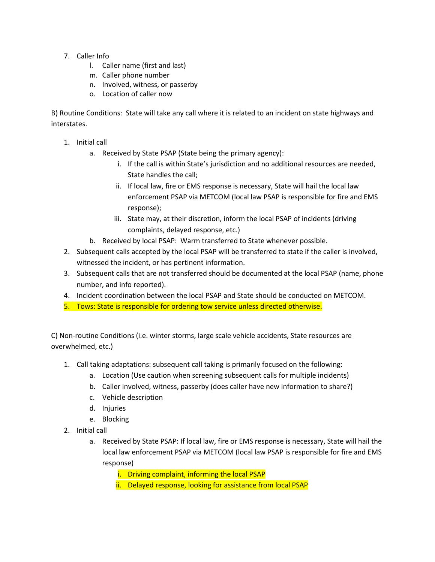- 7. Caller Info
	- l. Caller name (first and last)
	- m. Caller phone number
	- n. Involved, witness, or passerby
	- o. Location of caller now

B) Routine Conditions: State will take any call where it is related to an incident on state highways and interstates.

- 1. Initial call
	- a. Received by State PSAP (State being the primary agency):
		- i. If the call is within State's jurisdiction and no additional resources are needed, State handles the call;
		- ii. If local law, fire or EMS response is necessary, State will hail the local law enforcement PSAP via METCOM (local law PSAP is responsible for fire and EMS response);
		- iii. State may, at their discretion, inform the local PSAP of incidents (driving complaints, delayed response, etc.)
	- b. Received by local PSAP: Warm transferred to State whenever possible.
- 2. Subsequent calls accepted by the local PSAP will be transferred to state if the caller is involved, witnessed the incident, or has pertinent information.
- 3. Subsequent calls that are not transferred should be documented at the local PSAP (name, phone number, and info reported).
- 4. Incident coordination between the local PSAP and State should be conducted on METCOM.
- 5. Tows: State is responsible for ordering tow service unless directed otherwise.

C) Non-routine Conditions (i.e. winter storms, large scale vehicle accidents, State resources are overwhelmed, etc.)

- 1. Call taking adaptations: subsequent call taking is primarily focused on the following:
	- a. Location (Use caution when screening subsequent calls for multiple incidents)
	- b. Caller involved, witness, passerby (does caller have new information to share?)
	- c. Vehicle description
	- d. Injuries
	- e. Blocking
- 2. Initial call
	- a. Received by State PSAP: If local law, fire or EMS response is necessary, State will hail the local law enforcement PSAP via METCOM (local law PSAP is responsible for fire and EMS response)
		- i. Driving complaint, informing the local PSAP
		- ii. Delayed response, looking for assistance from local PSAP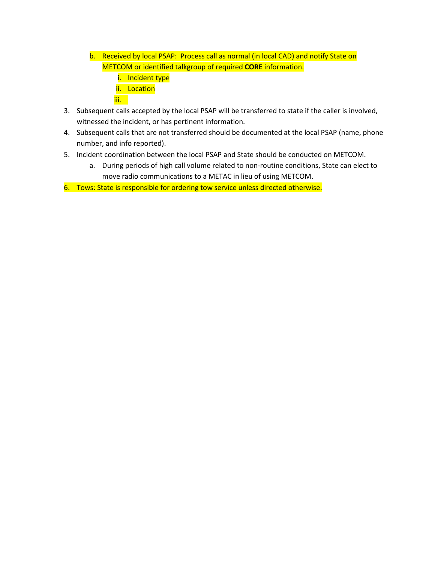- b. Received by local PSAP: Process call as normal (in local CAD) and notify State on METCOM or identified talkgroup of required **CORE** information.
	- i. Incident type
	- ii. Location
	- iii.
- 3. Subsequent calls accepted by the local PSAP will be transferred to state if the caller is involved, witnessed the incident, or has pertinent information.
- 4. Subsequent calls that are not transferred should be documented at the local PSAP (name, phone number, and info reported).
- 5. Incident coordination between the local PSAP and State should be conducted on METCOM.
	- a. During periods of high call volume related to non-routine conditions, State can elect to move radio communications to a METAC in lieu of using METCOM.
- 6. Tows: State is responsible for ordering tow service unless directed otherwise.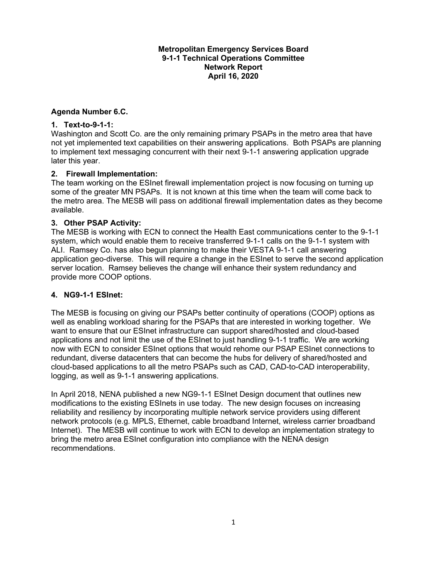#### **Metropolitan Emergency Services Board 9-1-1 Technical Operations Committee Network Report April 16, 2020**

## **Agenda Number 6.C.**

#### **1. Text-to-9-1-1:**

Washington and Scott Co. are the only remaining primary PSAPs in the metro area that have not yet implemented text capabilities on their answering applications. Both PSAPs are planning to implement text messaging concurrent with their next 9-1-1 answering application upgrade later this year.

#### **2. Firewall Implementation:**

The team working on the ESInet firewall implementation project is now focusing on turning up some of the greater MN PSAPs. It is not known at this time when the team will come back to the metro area. The MESB will pass on additional firewall implementation dates as they become available.

#### **3. Other PSAP Activity:**

The MESB is working with ECN to connect the Health East communications center to the 9-1-1 system, which would enable them to receive transferred 9-1-1 calls on the 9-1-1 system with ALI. Ramsey Co. has also begun planning to make their VESTA 9-1-1 call answering application geo-diverse. This will require a change in the ESInet to serve the second application server location. Ramsey believes the change will enhance their system redundancy and provide more COOP options.

#### **4. NG9-1-1 ESInet:**

The MESB is focusing on giving our PSAPs better continuity of operations (COOP) options as well as enabling workload sharing for the PSAPs that are interested in working together. We want to ensure that our ESInet infrastructure can support shared/hosted and cloud-based applications and not limit the use of the ESInet to just handling 9-1-1 traffic. We are working now with ECN to consider ESInet options that would rehome our PSAP ESInet connections to redundant, diverse datacenters that can become the hubs for delivery of shared/hosted and cloud-based applications to all the metro PSAPs such as CAD, CAD-to-CAD interoperability, logging, as well as 9-1-1 answering applications.

In April 2018, NENA published a new NG9-1-1 ESInet Design document that outlines new modifications to the existing ESInets in use today. The new design focuses on increasing reliability and resiliency by incorporating multiple network service providers using different network protocols (e.g. MPLS, Ethernet, cable broadband Internet, wireless carrier broadband Internet). The MESB will continue to work with ECN to develop an implementation strategy to bring the metro area ESInet configuration into compliance with the NENA design recommendations.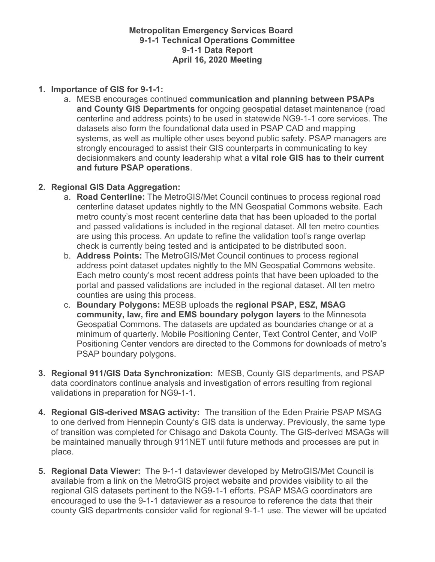# **Metropolitan Emergency Services Board 9-1-1 Technical Operations Committee 9-1-1 Data Report April 16, 2020 Meeting**

# **1. Importance of GIS for 9-1-1:**

a. MESB encourages continued **communication and planning between PSAPs and County GIS Departments** for ongoing geospatial dataset maintenance (road centerline and address points) to be used in statewide NG9-1-1 core services. The datasets also form the foundational data used in PSAP CAD and mapping systems, as well as multiple other uses beyond public safety. PSAP managers are strongly encouraged to assist their GIS counterparts in communicating to key decisionmakers and county leadership what a **vital role GIS has to their current and future PSAP operations**.

# **2. Regional GIS Data Aggregation:**

- a. **Road Centerline:** The MetroGIS/Met Council continues to process regional road centerline dataset updates nightly to the MN Geospatial Commons website. Each metro county's most recent centerline data that has been uploaded to the portal and passed validations is included in the regional dataset. All ten metro counties are using this process. An update to refine the validation tool's range overlap check is currently being tested and is anticipated to be distributed soon.
- b. **Address Points:** The MetroGIS/Met Council continues to process regional address point dataset updates nightly to the MN Geospatial Commons website. Each metro county's most recent address points that have been uploaded to the portal and passed validations are included in the regional dataset. All ten metro counties are using this process.
- c. **Boundary Polygons:** MESB uploads the **regional PSAP, ESZ, MSAG community, law, fire and EMS boundary polygon layers** to the Minnesota Geospatial Commons. The datasets are updated as boundaries change or at a minimum of quarterly. Mobile Positioning Center, Text Control Center, and VoIP Positioning Center vendors are directed to the Commons for downloads of metro's PSAP boundary polygons.
- **3. Regional 911/GIS Data Synchronization:** MESB, County GIS departments, and PSAP data coordinators continue analysis and investigation of errors resulting from regional validations in preparation for NG9-1-1.
- **4. Regional GIS-derived MSAG activity:** The transition of the Eden Prairie PSAP MSAG to one derived from Hennepin County's GIS data is underway. Previously, the same type of transition was completed for Chisago and Dakota County. The GIS-derived MSAGs will be maintained manually through 911NET until future methods and processes are put in place.
- **5. Regional Data Viewer:** The 9-1-1 dataviewer developed by MetroGIS/Met Council is available from a link on the MetroGIS project website and provides visibility to all the regional GIS datasets pertinent to the NG9-1-1 efforts. PSAP MSAG coordinators are encouraged to use the 9-1-1 dataviewer as a resource to reference the data that their county GIS departments consider valid for regional 9-1-1 use. The viewer will be updated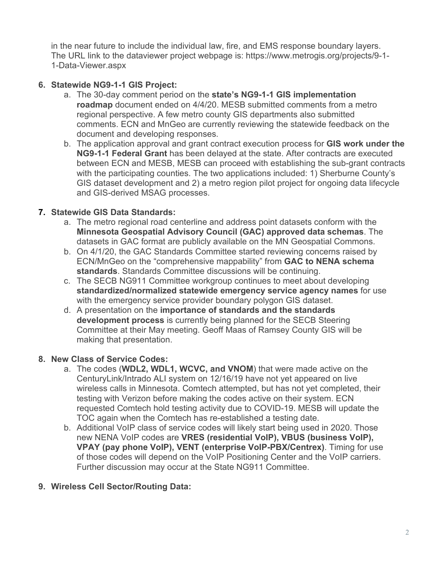in the near future to include the individual law, fire, and EMS response boundary layers. The URL link to the dataviewer project webpage is: https://www.metrogis.org/projects/9-1- 1-Data-Viewer.aspx

# **6. Statewide NG9-1-1 GIS Project:**

- a. The 30-day comment period on the **state's NG9-1-1 GIS implementation roadmap** document ended on 4/4/20. MESB submitted comments from a metro regional perspective. A few metro county GIS departments also submitted comments. ECN and MnGeo are currently reviewing the statewide feedback on the document and developing responses.
- b. The application approval and grant contract execution process for **GIS work under the NG9-1-1 Federal Grant** has been delayed at the state. After contracts are executed between ECN and MESB, MESB can proceed with establishing the sub-grant contracts with the participating counties. The two applications included: 1) Sherburne County's GIS dataset development and 2) a metro region pilot project for ongoing data lifecycle and GIS-derived MSAG processes.

# **7. Statewide GIS Data Standards:**

- a. The metro regional road centerline and address point datasets conform with the **Minnesota Geospatial Advisory Council (GAC) approved data schemas**. The datasets in GAC format are publicly available on the MN Geospatial Commons.
- b. On 4/1/20, the GAC Standards Committee started reviewing concerns raised by ECN/MnGeo on the "comprehensive mappability" from **GAC to NENA schema standards**. Standards Committee discussions will be continuing.
- c. The SECB NG911 Committee workgroup continues to meet about developing **standardized/normalized statewide emergency service agency names** for use with the emergency service provider boundary polygon GIS dataset.
- d. A presentation on the **importance of standards and the standards development process** is currently being planned for the SECB Steering Committee at their May meeting. Geoff Maas of Ramsey County GIS will be making that presentation.

# **8. New Class of Service Codes:**

- a. The codes (**WDL2, WDL1, WCVC, and VNOM**) that were made active on the CenturyLink/Intrado ALI system on 12/16/19 have not yet appeared on live wireless calls in Minnesota. Comtech attempted, but has not yet completed, their testing with Verizon before making the codes active on their system. ECN requested Comtech hold testing activity due to COVID-19. MESB will update the TOC again when the Comtech has re-established a testing date.
- b. Additional VoIP class of service codes will likely start being used in 2020. Those new NENA VoIP codes are **VRES (residential VoIP), VBUS (business VoIP), VPAY (pay phone VoIP), VENT (enterprise VoIP-PBX/Centrex)**. Timing for use of those codes will depend on the VoIP Positioning Center and the VoIP carriers. Further discussion may occur at the State NG911 Committee.

# **9. Wireless Cell Sector/Routing Data:**